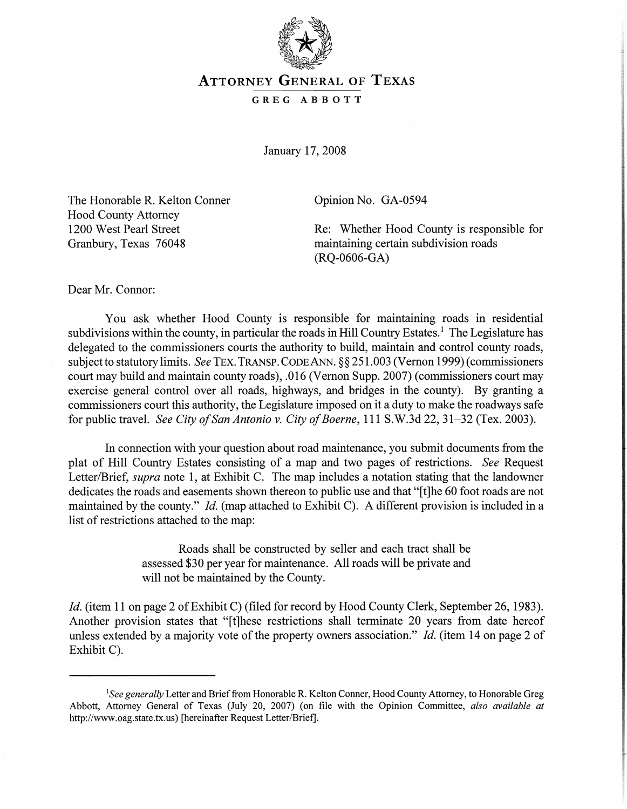

## **ATTORNEY GENERAL OF TEXAS**

## GREG ABBOTT

January 17, 2008

The Honorable R. Kelton Conner Hood County Attorney 1200 West Pearl Street Granbury, Texas 76048

Opinion No. GA-0594

Re: Whether Hood County is responsible for maintaining certain subdivision roads (RQ-0606-GA)

Dear Mr. Connor:

You ask whether Hood County is responsible for maintaining roads in residential subdivisions within the county, in particular the roads in Hill Country Estates.<sup>1</sup> The Legislature has delegated to the commissioners courts the authority to build, maintain and control county roads, subject to statutory limits. *See* TEX. TRANSP. CODE ANN. §§ 251.003 (Vernon 1999) (commissioners court may build and maintain county roads), .016 (Vernon Supp. 2007) (commissioners court may exercise general control over all roads, highways, and bridges in the county). By granting a commissioners court this authority, the Legislature imposed on it a duty to make the roadways safe for public travel. *See City of San Antonio* v. *City of Boerne*, 111 S.W.3d 22, 31–32 (Tex. 2003).

In connection with your question about road maintenance, you submit documents from the plat of Hill Country Estates consisting of a map and two pages of restrictions. *See* Request Letter/Brief, *supra* note 1, at Exhibit C. The map includes a notation stating that the landowner dedicates the roads and easements shown thereon to public use and that "[t]he 60 foot roads are not maintained by the county." *Id.* (map attached to Exhibit C). A different provision is included in a list of restrictions attached to the map:

> Roads shall be constructed by seller and each tract shall be assessed \$30 per year for maintenance. All roads will be private and will not be maintained by the County.

*Id.* (item 11 on page 2 of Exhibit C) (filed for record by Hood County Clerk, September 26, 1983). Another provision states that "[t]hese restrictions shall terminate 20 years from date hereof unless extended by a majority vote of the property owners association." *Id.* (item 14 on page 2 of Exhibit C).

*lSee generally* Letter and Brieffrom Honorable R. Kelton Conner, Hood County Attorney, to Honorable Greg Abbott, Attorney General of Texas (July 20, 2007) (on file with the Opinion Committee, *also available at* http://www.oag.state.tx.us) [hereinafter Request Letter/Brief].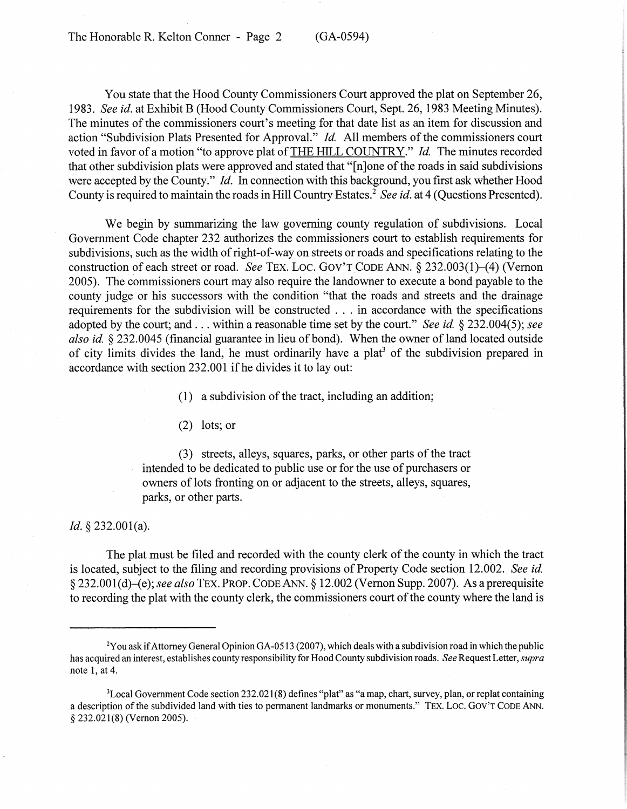You state that the Hood County Commissioners Court approved the plat on September 26, 1983. *See id.* at Exhibit B (Hood County Commissioners Court, Sept. 26, 1983 Meeting Minutes). The minutes of the commissioners court's meeting for that date list as an item for discussion and action "Subdivision Plats Presented for Approval." *Id.* All members of the commissioners court voted in favor of a motion "to approve plat of THE HILL COUNTRY." *Id.* The minutes recorded that other subdivision plats were approved and stated that "[n]one of the roads in said subdivisions were accepted by the County." *Id.* In connection with this background, you first ask whether Hood County is required to maintain the roads in Hill Country Estates.<sup>2</sup> *See id.* at 4 (Questions Presented).

We begin by summarizing the law governing county regulation of subdivisions. Local Government Code chapter 232 authorizes the commissioners court to establish requirements for subdivisions, such as the width of right-of-way on streets or roads and specifications relating to the construction of each street or road. *See* TEX. LOC. GOV'T CODE ANN. § 232.003(1)–(4) (Vernon 2005). The commissioners court may also require the landowner to execute a bond payable to the county judge or his successors with the condition "that the roads and streets and the drainage requirements for the subdivision will be constructed ... in accordance with the specifications adopted by the court; and . . . within a reasonable time set by the court." *See id.* § 232.004(5); *see also id.* § 232,0045 (financial guarantee in lieu of bond). When the owner of land located outside of city limits divides the land, he must ordinarily have a plat<sup>3</sup> of the subdivision prepared in accordance with section 232.001 if he divides it to lay out:

 $(1)$  a subdivision of the tract, including an addition;

(2) lots; or

(3) streets, alleys, squares, parks, or other parts of the tract intended to be dedicated to public use or for the use of purchasers or owners of lots fronting on or adjacent to the streets, alleys, squares, patks, or other parts.

## *Id.* § 232.001(a).

The plat must be filed and recorded with the county clerk of the county in which the tract is located, subject to the filing and recording provisions of Property Code section 12.002. *See ide* §232.001 (d)-(e); *see also* TEX. PROP. CODE ANN. § 12.002 (Vernon Supp. 2007). As a prerequisite to recording the plat with the county clerk, the commissioners court of the county where the land is

 $2$ You ask if Attorney General Opinion GA-0513 (2007), which deals with a subdivision road in which the public has acquired an interest, establishes county responsibility for Hood County subdivision roads. *See* Request Letter, *supra* note 1, at 4.

 $3$ Local Government Code section 232.021(8) defines "plat" as "a map, chart, survey, plan, or replat containing a description of the subdivided land with ties to permanent landmarks or monuments." TEX. LOC. GOV'T CODE ANN. § 232.021(8) (Vernon 2005).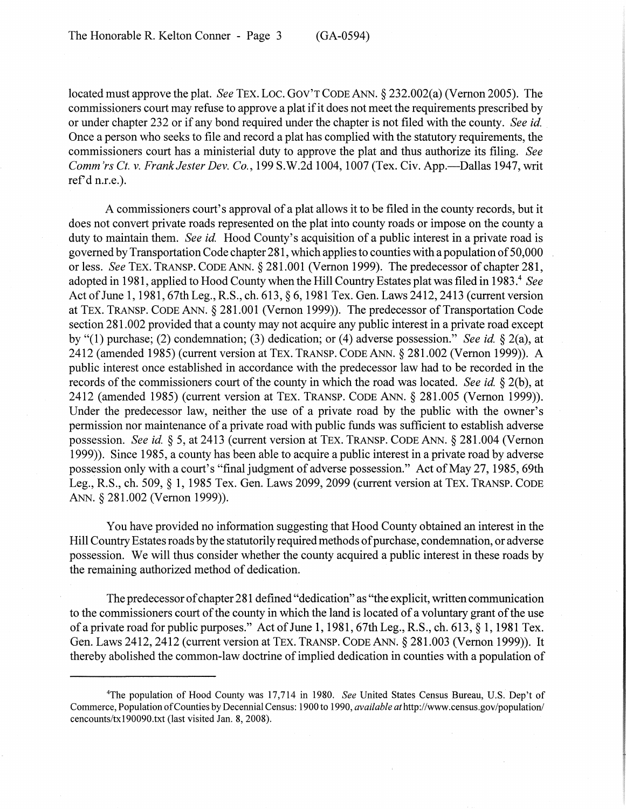located must approve the plat. *See* TEX. Loc. GOV'T CODE ANN. § 232.002(a) (Vernon 2005). The commissioners court may refuse to approve a plat ifit does not meet the requirements prescribed by or under chapter 232 or if any bond required under the chapter is not filed with the county. *See id.* Once a person who seeks to file and record a plat has complied with the statutory requirements, the commissioners court has a ministerial duty to approve the plat and thus authorize its filing. *See Comm'rs Ct.* V. *Frank Jester Dev. Co.,* 199 S.W.2d 1004,1007 (Tex. Civ. App.-Dallas 1947, writ ref'd n.r.e.).

A commissioners court's approval of a plat allows it to be filed in the county records, but it does not convert private roads represented on the plat into county roads or impose on the county a duty to maintain them. *See id.* Hood County's acquisition of a public interest in a private road is governed byTransportation Code chapter 281, which appliesto counties with a population of50,000 or less. *See* TEX. TRANSP. CODE ANN. § 281.001 (Vernon 1999). The predecessor of chapter 281, adopted in 1981, applied to Hood County when the Hill Country Estates platwas filed in 1983.<sup>4</sup> *See* Act of June 1, 1981, 67th Leg., R.S., ch. 613, § 6, 1981 Tex. Gen. Laws 2412, 2413 (current version at TEX. TRANSP. CODE ANN. § 281.001 (Vernon 1999)). The predecessor of Transportation Code section 281.002 provided that a county may not acquire any public interest in a private road except by "(1) purchase; (2) condemnation; (3) dedication; or (4) adverse possession." *See id* § 2(a), at 2412 (amended 1985) (current version at TEX. TRANSP. CODE ANN. § 281.002 (Vernon 1999)). A public interest once established in accordance with the predecessor law had to be recorded in the records of the commissioners court of the county in which the road was located. *See id.* § 2(b), at 2412 (amended 1985) (current version at TEX. TRANSP. CODE ANN. § 281.005 (Vernon 1999)). Under the predecessor law, neither the use of a private road by the public with the owner's permission nor maintenance of a private road with public funds was sufficient to establish adverse possession. *See id.* § 5, at 2413 (current version at TEX. TRANSP. CODE ANN. § 281.004 (Vernon 1999)). Since 1985, a county has been able to acquire a public interest in a private road by adverse possession only with a court's "final judgment of adverse possession." Act of May 27, 1985, 69th Leg., R.S., ch. 509,§ 1,1985 Tex. Gen. Laws 2099,2099 (current version at TEX. TRANSP. CODE ANN. § 281.002 (Vernon 1999)).

You have provided no information suggesting that Hood County obtained an interest in the Hill Country Estates roads by the statutorily required methods of purchase, condemnation, or adverse possession. We will thus consider whether the county acquired a public interest in these roads by the remaining authorized method of dedication.

The predecessor of chapter 281 defined "dedication" as "the explicit, written communication to the commissioners court of the county in which the land is located of a voluntary grant of the use of a private road for public purposes." Act of June 1, 1981, 67th Leg., R.S., ch. 613, § 1, 1981 Tex. Gen. Laws 2412, 2412 (current version at TEX. TRANSP. CODE ANN. § 281.003 (Vernon 1999)). It thereby abolished the common-law doctrine of implied dedication in counties with a population of

<sup>4</sup>The population of Hood County was 17,714 in 1980. *See* United States Census Bureau, U.S. Dep't of Commerce, Population ofCounties by Decennial Census: 1900 to 1990, *available at*http://www.census.gov/population/ cencounts/txI90090.txt (last visited Jan. 8, 2008).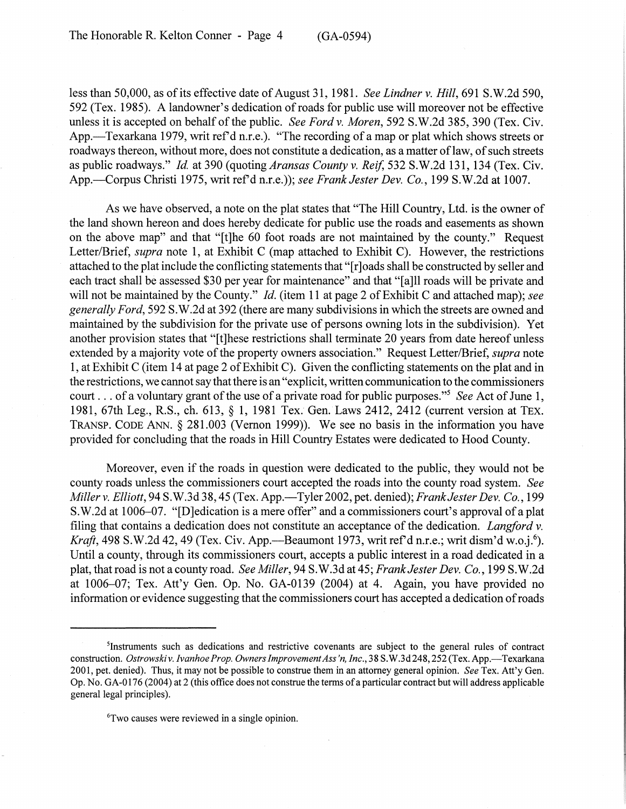less than 50,000, as of its effective date of August 31, 1981. *See Lindner* v. *Hill*, 691 S.W.2d 590, 592 (Tex. 1985). A landowner's dedication ofroads for public use will moreover not be effective unless it is accepted on behalf of the public. *See Ford v. Moren*, 592 S.W.2d 385, 390 (Tex. Civ. App.—Texarkana 1979, writ ref'd n.r.e.). "The recording of a map or plat which shows streets or roadways thereon, without more, does not constitute a dedication, as a matter of law, of such streets as public roadways." *Id.* at 390 (quoting *Aransas County v. Reif*, 532 S.W.2d 131, 134 (Tex. Civ. App.-.Corpus Christi 1975, writ refd n.r.e.)); *see Frank Jester Dev. Co.,* 199 S.W.2d at 1007.

As we have observed, a note on the plat states that "The Hill Country, Ltd. is the owner of the land shown hereon and does hereby dedicate for public use the roads and easements as shown on the above map" and that "[t]he 60 foot roads are not maintained by the county." Request Letter/Brief, *supra* note 1, at Exhibit C (map attached to Exhibit C). However, the restrictions attached to the plat include the conflicting statements that "[r]oads shall be constructed by seller and each tract shall be assessed \$30 per year for maintenance" and that "[a]ll roads will be private and will not be maintained by the County." *Id.* (item 11 at page 2 of Exhibit C and attached map); see *generally Ford,* 592 S.W.2d at 392 (there are many subdivisions in which the streets are owned and maintained by the subdivision for the private use of persons owning lots in the subdivision). Yet another provision states that "[t]hese restrictions shall terminate 20 years from date hereof unless extended by a majority vote of the property owners association." Request Letter/Brief, *supra* note 1, at Exhibit C (item 14 at page 2 of Exhibit C). Given the conflicting statements on the plat and in the restrictions, we cannot say that there is an "explicit, written communication to the commissioners court . . . of a voluntary grant of the use of a private road for public purposes."<sup>5</sup> *See* Act of June 1, 1981, 67th Leg., R.S., ch. 613., § 1, 1981 Tex.. Gen. Laws 2412, 2412 (current version at TEX. TRANSP. CODE ANN. § 281.003 (Vernon 1999)). We see no basis in the information you have provided for concluding that the roads in Hill Country Estates were dedicated to Hood County.

Moreover, even if the roads in question were dedicated to the public, they would not be county roads unless the commissioners court accepted the roads into the county road system. *See Miller* v. *Elliott,* 94 S.W.3d 38, 45 (Tex. App.-Tyler 2002, pet. denied); *Frank Jester Dev. Co., 199* S.W.2d at 1006-07. "[D]edication is a mere offer" and a commissioners court's approval of a plat filing that contains a dedication does not constitute an acceptance ofthe dedication. *Langford* v. *Kraft*, 498 S.W.2d 42, 49 (Tex. Civ. App.—Beaumont 1973, writ ref'd n.r.e.; writ dism'd w.o.j.<sup>6</sup>). Until a county, through its commissioners court, accepts a public interest in a road dedicated in a plat, that road is not a county road. *See Miller,* 94 S.W.3d at 45; *Frank Jester Dev. Co.,* 199 S.W.2d at  $1006-07$ ; Tex. Att'y Gen. Op. No. GA-0139 (2004) at 4. Again, you have provided no information or evidence suggesting that the commissioners court has accepted a dedication ofroads

6Two causes were reviewed in a single opinion.

<sup>5</sup>Instruments such as dedications and restrictive covenants are subject to the general rules of contract construction. *Ostrowski* v. *Ivanhoe Prop. OwnersImprovementAss'n, Inc.,* 38 S.W.3d 248,252 (Tex. App.-Texarkana 2001, pet. denied). Thus, it may not be possible to construe them in an attorney general opinion. *See* Tex. Att'y Gen. Op. No. GA-0176 (2004) at 2 (this office does not construe the terms of a particular contract but will address applicable general legal principles).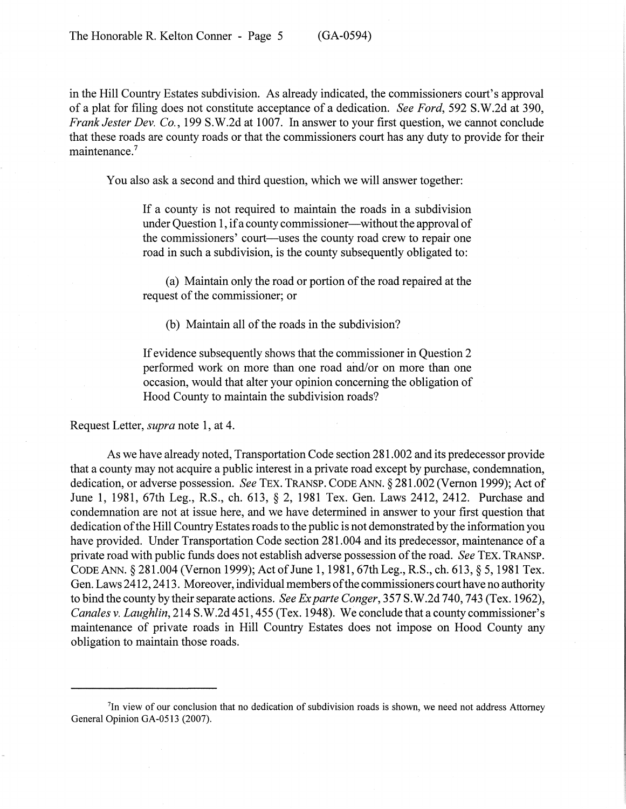in the Hill Country Estates subdivision. As already indicated, the commissioners court's approval of a plat for filing does not constitute acceptance of a dedication. *See Ford,* 592 S.W.2d at 390, *Frank Jester Dev. Co.,* 199 S.W.2d at 1007. In answer to your first question, we cannot conclude that these roads are county roads or that the commissioners court has any duty to provide for their maintenance.<sup>7</sup>

You also ask a second and third question, which we will answer together:

If a county is not required to maintain the roads in a subdivision under Ouestion 1, if a county commissioner—without the approval of the commissioners' court—uses the county road crew to repair one road in such a subdivision, is the county subsequently obligated to:

(a) Maintain only the road or portion of the road repaired at the request of the commissioner; or

(b) Maintain all of the roads in the subdivision?

If evidence subsequently shows that the commissioner in Question 2 performed work on more than one road and/or on more than one occasion, would that alter your opinion concerning the obligation of Hood County to maintain the subdivision roads?

Request Letter, *supra* note 1, at 4.

As we have already noted, Transportation Code section 281.002 and its predecessor provide that a county may not acquire a public interest in a private road except by purchase, condemnation, dedication, or adverse possession. *See* TEX. TRANSP. CODE ANN. §281.002 (Vernon 1999); Act of June 1, 1981, 67th Leg., R.S., ch. 613, § 2, 1981 Tex. Gen. Laws 2412, 2412. Purchase and condemnation are not at issue here, and we have determined in answer to your first question that dedication of the Hill Country Estates roads to the public is not demonstrated by the information you have provided. Under Transportation Code section 281.004 and its predecessor, maintenance of a private road with public funds does not establish adverse possession ofthe road. *See* TEX. TRANSP. CODE ANN. § 281.004 (Vernon 1999); Act of June 1, 1981, 67th Leg., R.S., ch. 613, § 5, 1981 Tex. Gen. Laws 2412, 2413. Moreover, individual members of the commissioners court have no authority to bind the county by their separate actions. *See Exparte Conger,* 357 S.W.2d 740, 743 (Tex. 1962), *Canales* v. *Laughlin,* 214 S.W.2d 451, 455 (Tex. 1948). We conclude that a county commissioner's maintenance of private roads in Hill Country Estates does not impose on Hood County any obligation to maintain those roads.

<sup>&</sup>lt;sup>7</sup>In view of our conclusion that no dedication of subdivision roads is shown, we need not address Attorney General Opinion GA-0513 (2007).